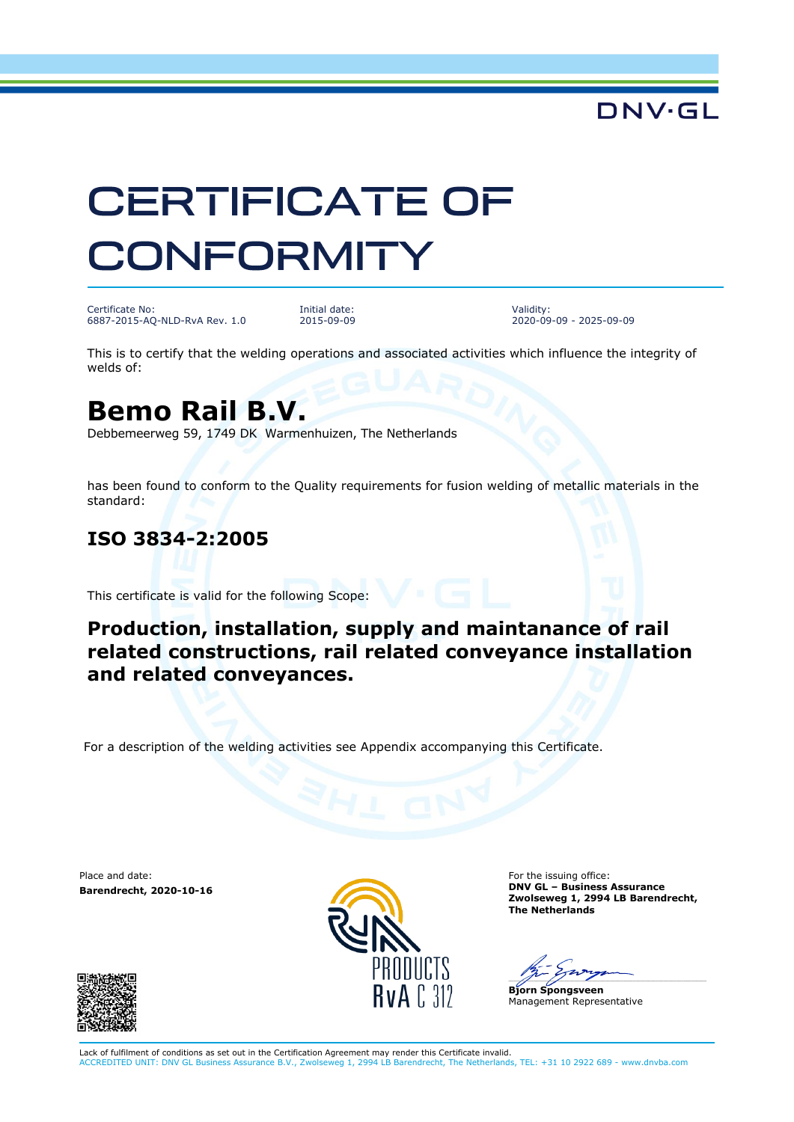## DNV.GL

# **CERTIFICATE OF CONFORMITY**

Certificate No: 6887-2015-AQ-NLD-RvA Rev. 1.0

Initial date: 2015-09-09 Validity: 2020-09-09 - 2025-09-09

This is to certify that the welding operations and associated activities which influence the integrity of welds of:

## **Bemo Rail B.V.**

Debbemeerweg 59, 1749 DK Warmenhuizen, The Netherlands

has been found to conform to the Quality requirements for fusion welding of metallic materials in the standard:

#### **ISO 3834-2:2005**

This certificate is valid for the following Scope:

#### **Production, installation, supply and maintanance of rail related constructions, rail related conveyance installation and related conveyances.**

For a description of the welding activities see Appendix accompanying this Certificate.

Place and date: **Barendrecht, 2020-10-16**





For the issuing office: **DNV GL – Business Assurance Zwolseweg 1, 2994 LB Barendrecht, The Netherlands**

 $\overline{\phantom{a}}$ 

**Bjorn Spongsveen** Management Representative

Lack of fulfilment of conditions as set out in the Certification Agreement may render this Certificate invalid.<br>ACCREDITED UNIT: DNV GL Business Assurance B.V., Zwolseweg 1, 2994 LB Barendrecht, The Netherlands, TEL: +31 1